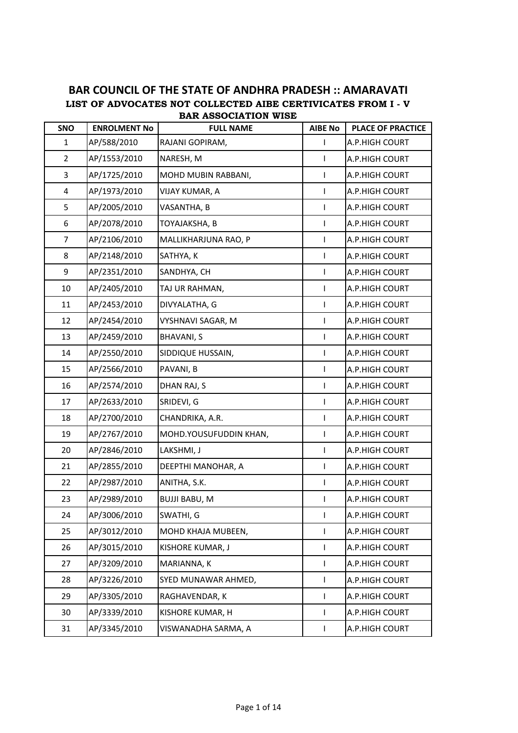## **LIST OF ADVOCATES NOT COLLECTED AIBE CERTIVICATES FROM I - V BAR COUNCIL OF THE STATE OF ANDHRA PRADESH :: AMARAVATI BAR ASSOCIATION WISE**

| SNO            | <b>ENROLMENT No</b> | <b>FULL NAME</b>       | <b>AIBE No</b> | <b>PLACE OF PRACTICE</b> |
|----------------|---------------------|------------------------|----------------|--------------------------|
| 1              | AP/588/2010         | RAJANI GOPIRAM,        | $\mathsf{I}$   | A.P.HIGH COURT           |
| $\overline{2}$ | AP/1553/2010        | NARESH, M              | L              | A.P.HIGH COURT           |
| 3              | AP/1725/2010        | MOHD MUBIN RABBANI,    | L              | A.P.HIGH COURT           |
| 4              | AP/1973/2010        | VIJAY KUMAR, A         | $\mathsf{I}$   | A.P.HIGH COURT           |
| 5              | AP/2005/2010        | VASANTHA, B            | L              | A.P.HIGH COURT           |
| 6              | AP/2078/2010        | TOYAJAKSHA, B          | L              | A.P.HIGH COURT           |
| $\overline{7}$ | AP/2106/2010        | MALLIKHARJUNA RAO, P   | L              | A.P.HIGH COURT           |
| 8              | AP/2148/2010        | SATHYA, K              | T              | A.P.HIGH COURT           |
| 9              | AP/2351/2010        | SANDHYA, CH            | $\mathsf{I}$   | A.P.HIGH COURT           |
| 10             | AP/2405/2010        | TAJ UR RAHMAN,         | L              | A.P.HIGH COURT           |
| 11             | AP/2453/2010        | DIVYALATHA, G          | $\mathsf{I}$   | A.P.HIGH COURT           |
| 12             | AP/2454/2010        | VYSHNAVI SAGAR, M      | L              | A.P.HIGH COURT           |
| 13             | AP/2459/2010        | <b>BHAVANI, S</b>      | L              | A.P.HIGH COURT           |
| 14             | AP/2550/2010        | SIDDIQUE HUSSAIN,      | $\mathsf{L}$   | A.P.HIGH COURT           |
| 15             | AP/2566/2010        | PAVANI, B              | L              | A.P.HIGH COURT           |
| 16             | AP/2574/2010        | DHAN RAJ, S            | L              | A.P.HIGH COURT           |
| 17             | AP/2633/2010        | SRIDEVI, G             | L              | A.P.HIGH COURT           |
| 18             | AP/2700/2010        | CHANDRIKA, A.R.        | T              | A.P.HIGH COURT           |
| 19             | AP/2767/2010        | MOHD.YOUSUFUDDIN KHAN, | T              | A.P.HIGH COURT           |
| 20             | AP/2846/2010        | LAKSHMI, J             | $\mathsf{I}$   | A.P.HIGH COURT           |
| 21             | AP/2855/2010        | DEEPTHI MANOHAR, A     | $\mathsf{I}$   | A.P.HIGH COURT           |
| 22             | AP/2987/2010        | ANITHA, S.K.           | $\mathsf{I}$   | A.P.HIGH COURT           |
| 23             | AP/2989/2010        | <b>BUJJI BABU, M</b>   | L              | A.P.HIGH COURT           |
| 24             | AP/3006/2010        | SWATHI, G              | L              | A.P.HIGH COURT           |
| 25             | AP/3012/2010        | MOHD KHAJA MUBEEN,     | L              | A.P.HIGH COURT           |
| 26             | AP/3015/2010        | KISHORE KUMAR, J       | L              | A.P.HIGH COURT           |
| 27             | AP/3209/2010        | MARIANNA, K            | L              | A.P.HIGH COURT           |
| 28             | AP/3226/2010        | SYED MUNAWAR AHMED,    | $\mathsf{I}$   | A.P.HIGH COURT           |
| 29             | AP/3305/2010        | RAGHAVENDAR, K         | $\mathsf{I}$   | A.P.HIGH COURT           |
| 30             | AP/3339/2010        | KISHORE KUMAR, H       | L              | A.P.HIGH COURT           |
| 31             | AP/3345/2010        | VISWANADHA SARMA, A    | L              | A.P.HIGH COURT           |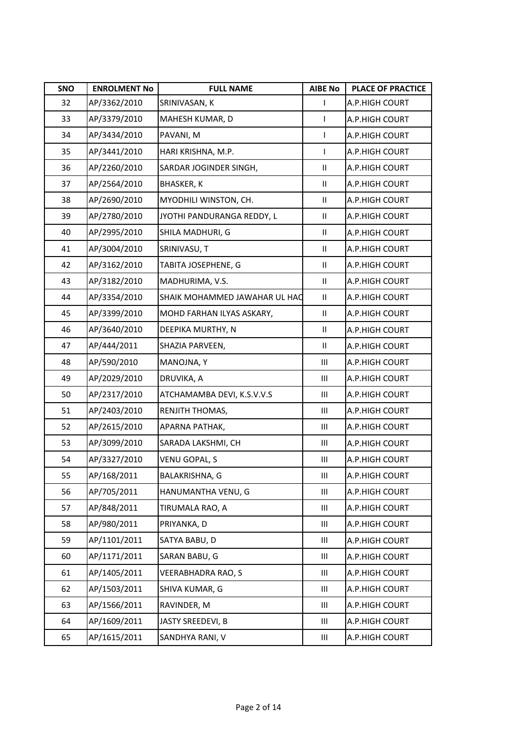| SNO | <b>ENROLMENT No</b> | <b>FULL NAME</b>              | <b>AIBE No</b>     | <b>PLACE OF PRACTICE</b> |
|-----|---------------------|-------------------------------|--------------------|--------------------------|
| 32  | AP/3362/2010        | SRINIVASAN, K                 | L                  | A.P.HIGH COURT           |
| 33  | AP/3379/2010        | MAHESH KUMAR, D               | L                  | A.P.HIGH COURT           |
| 34  | AP/3434/2010        | PAVANI, M                     | T                  | A.P.HIGH COURT           |
| 35  | AP/3441/2010        | HARI KRISHNA, M.P.            | L                  | A.P.HIGH COURT           |
| 36  | AP/2260/2010        | SARDAR JOGINDER SINGH,        | $\mathbf{II}$      | A.P.HIGH COURT           |
| 37  | AP/2564/2010        | <b>BHASKER, K</b>             | Ш                  | A.P.HIGH COURT           |
| 38  | AP/2690/2010        | MYODHILI WINSTON, CH.         | $\mathbf{II}$      | A.P.HIGH COURT           |
| 39  | AP/2780/2010        | JYOTHI PANDURANGA REDDY, L    | $\mathbf{II}$      | A.P.HIGH COURT           |
| 40  | AP/2995/2010        | SHILA MADHURI, G              | Ш                  | A.P.HIGH COURT           |
| 41  | AP/3004/2010        | SRINIVASU, T                  | Ш                  | A.P.HIGH COURT           |
| 42  | AP/3162/2010        | TABITA JOSEPHENE, G           | Ш                  | A.P.HIGH COURT           |
| 43  | AP/3182/2010        | MADHURIMA, V.S.               | $\mathbf{II}$      | A.P.HIGH COURT           |
| 44  | AP/3354/2010        | SHAIK MOHAMMED JAWAHAR UL HAC | $\mathbf{II}$      | A.P.HIGH COURT           |
| 45  | AP/3399/2010        | MOHD FARHAN ILYAS ASKARY,     | Ш                  | A.P.HIGH COURT           |
| 46  | AP/3640/2010        | DEEPIKA MURTHY, N             | Ш                  | A.P.HIGH COURT           |
| 47  | AP/444/2011         | SHAZIA PARVEEN,               | $\mathbf{II}$      | A.P.HIGH COURT           |
| 48  | AP/590/2010         | MANOJNA, Y                    | $\mathop{\rm III}$ | A.P.HIGH COURT           |
| 49  | AP/2029/2010        | DRUVIKA, A                    | Ш                  | A.P.HIGH COURT           |
| 50  | AP/2317/2010        | ATCHAMAMBA DEVI, K.S.V.V.S    | $\mathop{\rm III}$ | A.P.HIGH COURT           |
| 51  | AP/2403/2010        | RENJITH THOMAS,               | Ш                  | A.P.HIGH COURT           |
| 52  | AP/2615/2010        | APARNA PATHAK,                | Ш                  | A.P.HIGH COURT           |
| 53  | AP/3099/2010        | SARADA LAKSHMI, CH            | Ш                  | A.P.HIGH COURT           |
| 54  | AP/3327/2010        | VENU GOPAL, S                 | Ш                  | A.P.HIGH COURT           |
| 55  | AP/168/2011         | BALAKRISHNA, G                | Ш                  | A.P.HIGH COURT           |
| 56  | AP/705/2011         | HANUMANTHA VENU, G            | Ш                  | A.P.HIGH COURT           |
| 57  | AP/848/2011         | TIRUMALA RAO, A               | Ш                  | A.P.HIGH COURT           |
| 58  | AP/980/2011         | PRIYANKA, D                   | $\mathbf{III}$     | A.P.HIGH COURT           |
| 59  | AP/1101/2011        | SATYA BABU, D                 | Ш                  | A.P.HIGH COURT           |
| 60  | AP/1171/2011        | SARAN BABU, G                 | Ш                  | A.P.HIGH COURT           |
| 61  | AP/1405/2011        | VEERABHADRA RAO, S            | Ш                  | A.P.HIGH COURT           |
| 62  | AP/1503/2011        | SHIVA KUMAR, G                | Ш                  | A.P.HIGH COURT           |
| 63  | AP/1566/2011        | RAVINDER, M                   | Ш                  | A.P.HIGH COURT           |
| 64  | AP/1609/2011        | JASTY SREEDEVI, B             | Ш                  | A.P.HIGH COURT           |
| 65  | AP/1615/2011        | SANDHYA RANI, V               | Ш                  | A.P.HIGH COURT           |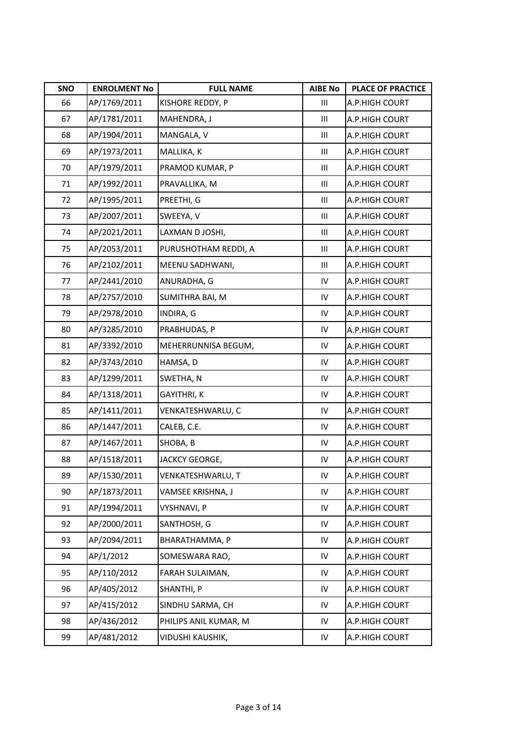| SNO | <b>ENROLMENT No</b> | <b>FULL NAME</b>         | <b>AIBE No</b>     | <b>PLACE OF PRACTICE</b> |
|-----|---------------------|--------------------------|--------------------|--------------------------|
| 66  | AP/1769/2011        | KISHORE REDDY, P         | Ш                  | A.P.HIGH COURT           |
| 67  | AP/1781/2011        | MAHENDRA, J              | Ш                  | A.P.HIGH COURT           |
| 68  | AP/1904/2011        | MANGALA, V               | Ш                  | A.P.HIGH COURT           |
| 69  | AP/1973/2011        | MALLIKA, K               | Ш                  | A.P.HIGH COURT           |
| 70  | AP/1979/2011        | PRAMOD KUMAR, P          | Ш                  | A.P.HIGH COURT           |
| 71  | AP/1992/2011        | PRAVALLIKA, M            | Ш                  | A.P.HIGH COURT           |
| 72  | AP/1995/2011        | PREETHI, G               | $\mathop{\rm III}$ | A.P.HIGH COURT           |
| 73  | AP/2007/2011        | SWEEYA, V                | $\mathop{\rm III}$ | A.P.HIGH COURT           |
| 74  | AP/2021/2011        | LAXMAN D JOSHI,          | Ш                  | A.P.HIGH COURT           |
| 75  | AP/2053/2011        | PURUSHOTHAM REDDI, A     | $\mathop{\rm III}$ | A.P.HIGH COURT           |
| 76  | AP/2102/2011        | MEENU SADHWANI,          | Ш                  | A.P.HIGH COURT           |
| 77  | AP/2441/2010        | ANURADHA, G              | IV                 | A.P.HIGH COURT           |
| 78  | AP/2757/2010        | SUMITHRA BAI, M          | IV                 | A.P.HIGH COURT           |
| 79  | AP/2978/2010        | INDIRA, G                | IV                 | A.P.HIGH COURT           |
| 80  | AP/3285/2010        | PRABHUDAS, P             | IV                 | A.P.HIGH COURT           |
| 81  | AP/3392/2010        | MEHERRUNNISA BEGUM,      | IV                 | A.P.HIGH COURT           |
| 82  | AP/3743/2010        | HAMSA, D                 | ${\sf IV}$         | A.P.HIGH COURT           |
| 83  | AP/1299/2011        | SWETHA, N                | IV                 | A.P.HIGH COURT           |
| 84  | AP/1318/2011        | GAYITHRI, K              | IV                 | A.P.HIGH COURT           |
| 85  | AP/1411/2011        | VENKATESHWARLU, C        | IV                 | A.P.HIGH COURT           |
| 86  | AP/1447/2011        | CALEB, C.E.              | IV                 | A.P.HIGH COURT           |
| 87  | AP/1467/2011        | SHOBA, B                 | IV                 | A.P.HIGH COURT           |
| 88  | AP/1518/2011        | JACKCY GEORGE,           | IV                 | A.P.HIGH COURT           |
| 89  | AP/1530/2011        | <b>VENKATESHWARLU, T</b> | ${\sf IV}$         | A.P.HIGH COURT           |
| 90  | AP/1873/2011        | VAMSEE KRISHNA, J        | ${\sf IV}$         | A.P.HIGH COURT           |
| 91  | AP/1994/2011        | <b>VYSHNAVI, P</b>       | ${\sf IV}$         | A.P.HIGH COURT           |
| 92  | AP/2000/2011        | SANTHOSH, G              | ${\sf IV}$         | A.P.HIGH COURT           |
| 93  | AP/2094/2011        | BHARATHAMMA, P           | ${\sf IV}$         | A.P.HIGH COURT           |
| 94  | AP/1/2012           | SOMESWARA RAO,           | IV                 | A.P.HIGH COURT           |
| 95  | AP/110/2012         | FARAH SULAIMAN,          | IV                 | A.P.HIGH COURT           |
| 96  | AP/405/2012         | SHANTHI, P               | IV                 | A.P.HIGH COURT           |
| 97  | AP/415/2012         | SINDHU SARMA, CH         | ${\sf IV}$         | A.P.HIGH COURT           |
| 98  | AP/436/2012         | PHILIPS ANIL KUMAR, M    | IV                 | A.P.HIGH COURT           |
| 99  | AP/481/2012         | VIDUSHI KAUSHIK,         | ${\sf IV}$         | A.P.HIGH COURT           |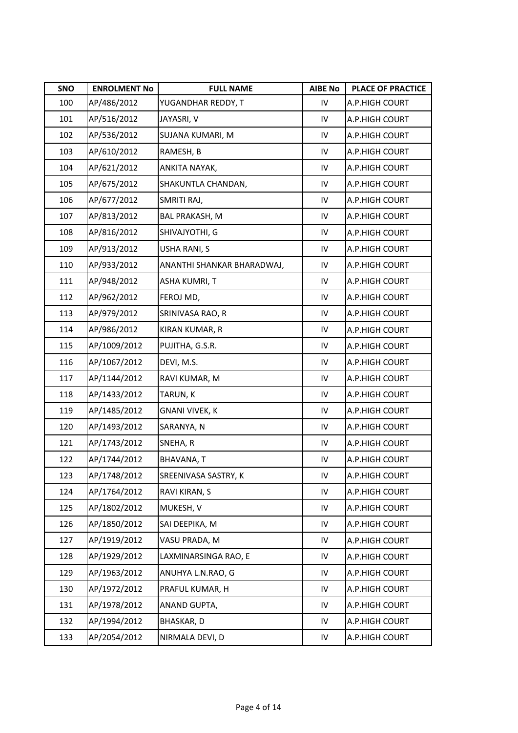| SNO | <b>ENROLMENT No</b> | <b>FULL NAME</b>           | <b>AIBE No</b> | <b>PLACE OF PRACTICE</b> |
|-----|---------------------|----------------------------|----------------|--------------------------|
| 100 | AP/486/2012         | YUGANDHAR REDDY, T         | IV             | A.P.HIGH COURT           |
| 101 | AP/516/2012         | JAYASRI, V                 | IV             | A.P.HIGH COURT           |
| 102 | AP/536/2012         | SUJANA KUMARI, M           | IV             | A.P.HIGH COURT           |
| 103 | AP/610/2012         | RAMESH, B                  | IV             | A.P.HIGH COURT           |
| 104 | AP/621/2012         | ANKITA NAYAK,              | IV             | A.P.HIGH COURT           |
| 105 | AP/675/2012         | SHAKUNTLA CHANDAN,         | IV             | A.P.HIGH COURT           |
| 106 | AP/677/2012         | SMRITI RAJ,                | IV             | A.P.HIGH COURT           |
| 107 | AP/813/2012         | <b>BAL PRAKASH, M</b>      | IV             | A.P.HIGH COURT           |
| 108 | AP/816/2012         | SHIVAJYOTHI, G             | IV             | A.P.HIGH COURT           |
| 109 | AP/913/2012         | USHA RANI, S               | IV             | A.P.HIGH COURT           |
| 110 | AP/933/2012         | ANANTHI SHANKAR BHARADWAJ, | IV             | A.P.HIGH COURT           |
| 111 | AP/948/2012         | <b>ASHA KUMRI, T</b>       | IV             | A.P.HIGH COURT           |
| 112 | AP/962/2012         | FEROJ MD,                  | IV             | A.P.HIGH COURT           |
| 113 | AP/979/2012         | SRINIVASA RAO, R           | IV             | A.P.HIGH COURT           |
| 114 | AP/986/2012         | KIRAN KUMAR, R             | IV             | A.P.HIGH COURT           |
| 115 | AP/1009/2012        | PUJITHA, G.S.R.            | IV             | A.P.HIGH COURT           |
| 116 | AP/1067/2012        | DEVI, M.S.                 | ${\sf IV}$     | A.P.HIGH COURT           |
| 117 | AP/1144/2012        | RAVI KUMAR, M              | IV             | A.P.HIGH COURT           |
| 118 | AP/1433/2012        | TARUN, K                   | IV             | A.P.HIGH COURT           |
| 119 | AP/1485/2012        | <b>GNANI VIVEK, K</b>      | IV             | A.P.HIGH COURT           |
| 120 | AP/1493/2012        | SARANYA, N                 | IV             | A.P.HIGH COURT           |
| 121 | AP/1743/2012        | SNEHA, R                   | IV             | A.P.HIGH COURT           |
| 122 | AP/1744/2012        | BHAVANA, T                 | IV             | A.P.HIGH COURT           |
| 123 | AP/1748/2012        | SREENIVASA SASTRY, K       | ${\sf IV}$     | A.P.HIGH COURT           |
| 124 | AP/1764/2012        | RAVI KIRAN, S              | ${\sf IV}$     | A.P.HIGH COURT           |
| 125 | AP/1802/2012        | MUKESH, V                  | ${\sf IV}$     | A.P.HIGH COURT           |
| 126 | AP/1850/2012        | SAI DEEPIKA, M             | ${\sf IV}$     | A.P.HIGH COURT           |
| 127 | AP/1919/2012        | VASU PRADA, M              | ${\sf IV}$     | A.P.HIGH COURT           |
| 128 | AP/1929/2012        | LAXMINARSINGA RAO, E       | IV             | A.P.HIGH COURT           |
| 129 | AP/1963/2012        | ANUHYA L.N.RAO, G          | IV             | A.P.HIGH COURT           |
| 130 | AP/1972/2012        | PRAFUL KUMAR, H            | IV             | A.P.HIGH COURT           |
| 131 | AP/1978/2012        | ANAND GUPTA,               | ${\sf IV}$     | A.P.HIGH COURT           |
| 132 | AP/1994/2012        | BHASKAR, D                 | IV             | A.P.HIGH COURT           |
| 133 | AP/2054/2012        | NIRMALA DEVI, D            | ${\sf IV}$     | A.P.HIGH COURT           |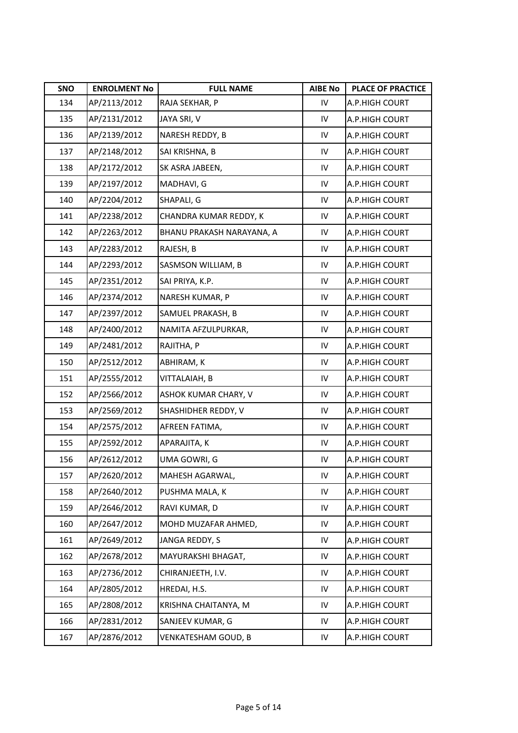| SNO | <b>ENROLMENT No</b> | <b>FULL NAME</b>          | <b>AIBE No</b> | <b>PLACE OF PRACTICE</b> |
|-----|---------------------|---------------------------|----------------|--------------------------|
| 134 | AP/2113/2012        | RAJA SEKHAR, P            | IV             | A.P.HIGH COURT           |
| 135 | AP/2131/2012        | JAYA SRI, V               | IV             | A.P.HIGH COURT           |
| 136 | AP/2139/2012        | NARESH REDDY, B           | IV             | A.P.HIGH COURT           |
| 137 | AP/2148/2012        | SAI KRISHNA, B            | IV             | A.P.HIGH COURT           |
| 138 | AP/2172/2012        | SK ASRA JABEEN,           | IV             | A.P.HIGH COURT           |
| 139 | AP/2197/2012        | MADHAVI, G                | IV             | A.P.HIGH COURT           |
| 140 | AP/2204/2012        | SHAPALI, G                | IV             | A.P.HIGH COURT           |
| 141 | AP/2238/2012        | CHANDRA KUMAR REDDY, K    | IV             | A.P.HIGH COURT           |
| 142 | AP/2263/2012        | BHANU PRAKASH NARAYANA, A | IV             | A.P.HIGH COURT           |
| 143 | AP/2283/2012        | RAJESH, B                 | IV             | A.P.HIGH COURT           |
| 144 | AP/2293/2012        | SASMSON WILLIAM, B        | IV             | A.P.HIGH COURT           |
| 145 | AP/2351/2012        | SAI PRIYA, K.P.           | IV             | A.P.HIGH COURT           |
| 146 | AP/2374/2012        | NARESH KUMAR, P           | IV             | A.P.HIGH COURT           |
| 147 | AP/2397/2012        | SAMUEL PRAKASH, B         | IV             | A.P.HIGH COURT           |
| 148 | AP/2400/2012        | NAMITA AFZULPURKAR,       | IV             | A.P.HIGH COURT           |
| 149 | AP/2481/2012        | RAJITHA, P                | IV             | A.P.HIGH COURT           |
| 150 | AP/2512/2012        | ABHIRAM, K                | ${\sf IV}$     | A.P.HIGH COURT           |
| 151 | AP/2555/2012        | VITTALAIAH, B             | IV             | A.P.HIGH COURT           |
| 152 | AP/2566/2012        | ASHOK KUMAR CHARY, V      | IV             | A.P.HIGH COURT           |
| 153 | AP/2569/2012        | SHASHIDHER REDDY, V       | IV             | A.P.HIGH COURT           |
| 154 | AP/2575/2012        | AFREEN FATIMA,            | IV             | A.P.HIGH COURT           |
| 155 | AP/2592/2012        | APARAJITA, K              | IV             | A.P.HIGH COURT           |
| 156 | AP/2612/2012        | UMA GOWRI, G              | IV             | A.P.HIGH COURT           |
| 157 | AP/2620/2012        | MAHESH AGARWAL,           | ${\sf IV}$     | A.P.HIGH COURT           |
| 158 | AP/2640/2012        | PUSHMA MALA, K            | ${\sf IV}$     | A.P.HIGH COURT           |
| 159 | AP/2646/2012        | RAVI KUMAR, D             | IV             | A.P.HIGH COURT           |
| 160 | AP/2647/2012        | MOHD MUZAFAR AHMED,       | ${\sf IV}$     | A.P.HIGH COURT           |
| 161 | AP/2649/2012        | JANGA REDDY, S            | ${\sf IV}$     | A.P.HIGH COURT           |
| 162 | AP/2678/2012        | MAYURAKSHI BHAGAT,        | IV             | A.P.HIGH COURT           |
| 163 | AP/2736/2012        | CHIRANJEETH, I.V.         | IV             | A.P.HIGH COURT           |
| 164 | AP/2805/2012        | HREDAI, H.S.              | IV             | A.P.HIGH COURT           |
| 165 | AP/2808/2012        | KRISHNA CHAITANYA, M      | IV             | A.P.HIGH COURT           |
| 166 | AP/2831/2012        | SANJEEV KUMAR, G          | IV             | A.P.HIGH COURT           |
| 167 | AP/2876/2012        | VENKATESHAM GOUD, B       | ${\sf IV}$     | A.P.HIGH COURT           |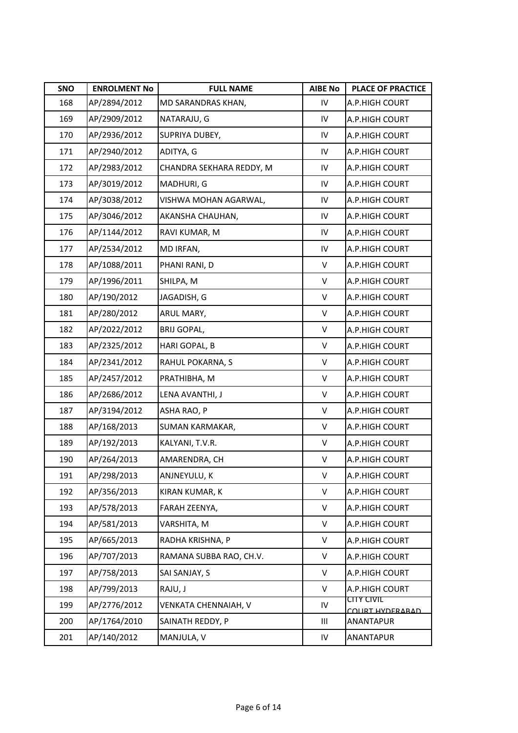| SNO | <b>ENROLMENT No</b> | <b>FULL NAME</b>         | <b>AIBE No</b> | <b>PLACE OF PRACTICE</b>      |
|-----|---------------------|--------------------------|----------------|-------------------------------|
| 168 | AP/2894/2012        | MD SARANDRAS KHAN,       | IV             | A.P.HIGH COURT                |
| 169 | AP/2909/2012        | NATARAJU, G              | IV             | A.P.HIGH COURT                |
| 170 | AP/2936/2012        | SUPRIYA DUBEY,           | IV             | A.P.HIGH COURT                |
| 171 | AP/2940/2012        | ADITYA, G                | IV             | A.P.HIGH COURT                |
| 172 | AP/2983/2012        | CHANDRA SEKHARA REDDY, M | IV             | A.P.HIGH COURT                |
| 173 | AP/3019/2012        | MADHURI, G               | IV             | A.P.HIGH COURT                |
| 174 | AP/3038/2012        | VISHWA MOHAN AGARWAL,    | IV             | A.P.HIGH COURT                |
| 175 | AP/3046/2012        | AKANSHA CHAUHAN,         | IV             | A.P.HIGH COURT                |
| 176 | AP/1144/2012        | RAVI KUMAR, M            | IV             | A.P.HIGH COURT                |
| 177 | AP/2534/2012        | MD IRFAN,                | IV             | A.P.HIGH COURT                |
| 178 | AP/1088/2011        | PHANI RANI, D            | V              | A.P.HIGH COURT                |
| 179 | AP/1996/2011        | SHILPA, M                | V              | A.P.HIGH COURT                |
| 180 | AP/190/2012         | JAGADISH, G              | V              | A.P.HIGH COURT                |
| 181 | AP/280/2012         | ARUL MARY,               | V              | A.P.HIGH COURT                |
| 182 | AP/2022/2012        | <b>BRIJ GOPAL,</b>       | V              | A.P.HIGH COURT                |
| 183 | AP/2325/2012        | HARI GOPAL, B            | V              | A.P.HIGH COURT                |
| 184 | AP/2341/2012        | RAHUL POKARNA, S         | V              | A.P.HIGH COURT                |
| 185 | AP/2457/2012        | PRATHIBHA, M             | V              | A.P.HIGH COURT                |
| 186 | AP/2686/2012        | LENA AVANTHI, J          | V              | A.P.HIGH COURT                |
| 187 | AP/3194/2012        | ASHA RAO, P              | V              | A.P.HIGH COURT                |
| 188 | AP/168/2013         | SUMAN KARMAKAR,          | V              | A.P.HIGH COURT                |
| 189 | AP/192/2013         | KALYANI, T.V.R.          | V              | A.P.HIGH COURT                |
| 190 | AP/264/2013         | AMARENDRA, CH            | V              | A.P.HIGH COURT                |
| 191 | AP/298/2013         | ANJNEYULU, K             | V              | A.P.HIGH COURT                |
| 192 | AP/356/2013         | KIRAN KUMAR, K           | V              | A.P.HIGH COURT                |
| 193 | AP/578/2013         | FARAH ZEENYA,            | V              | A.P.HIGH COURT                |
| 194 | AP/581/2013         | VARSHITA, M              | V              | A.P.HIGH COURT                |
| 195 | AP/665/2013         | RADHA KRISHNA, P         | V              | A.P.HIGH COURT                |
| 196 | AP/707/2013         | RAMANA SUBBA RAO, CH.V.  | V              | A.P.HIGH COURT                |
| 197 | AP/758/2013         | SAI SANJAY, S            | V              | A.P.HIGH COURT                |
| 198 | AP/799/2013         | RAJU, J                  | V              | A.P.HIGH COURT                |
| 199 | AP/2776/2012        | VENKATA CHENNAIAH, V     | ${\sf IV}$     | CITY CIVIL<br>COURT HYDERARAD |
| 200 | AP/1764/2010        | SAINATH REDDY, P         | Ш              | ANANTAPUR                     |
| 201 | AP/140/2012         | MANJULA, V               | IV             | ANANTAPUR                     |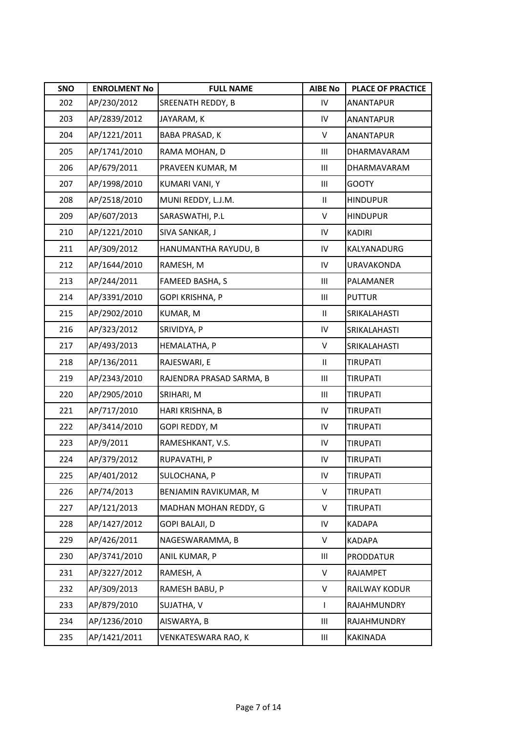| SNO | <b>ENROLMENT No</b> | <b>FULL NAME</b>         | <b>AIBE No</b> | <b>PLACE OF PRACTICE</b> |
|-----|---------------------|--------------------------|----------------|--------------------------|
| 202 | AP/230/2012         | SREENATH REDDY, B        | IV             | ANANTAPUR                |
| 203 | AP/2839/2012        | JAYARAM, K               | IV             | ANANTAPUR                |
| 204 | AP/1221/2011        | <b>BABA PRASAD, K</b>    | V              | <b>ANANTAPUR</b>         |
| 205 | AP/1741/2010        | RAMA MOHAN, D            | Ш              | DHARMAVARAM              |
| 206 | AP/679/2011         | PRAVEEN KUMAR, M         | Ш              | DHARMAVARAM              |
| 207 | AP/1998/2010        | KUMARI VANI, Y           | Ш              | <b>GOOTY</b>             |
| 208 | AP/2518/2010        | MUNI REDDY, L.J.M.       | $\mathbf{II}$  | <b>HINDUPUR</b>          |
| 209 | AP/607/2013         | SARASWATHI, P.L          | V              | <b>HINDUPUR</b>          |
| 210 | AP/1221/2010        | SIVA SANKAR, J           | IV             | <b>KADIRI</b>            |
| 211 | AP/309/2012         | HANUMANTHA RAYUDU, B     | IV             | KALYANADURG              |
| 212 | AP/1644/2010        | RAMESH, M                | IV             | URAVAKONDA               |
| 213 | AP/244/2011         | FAMEED BASHA, S          | Ш              | PALAMANER                |
| 214 | AP/3391/2010        | GOPI KRISHNA, P          | Ш              | <b>PUTTUR</b>            |
| 215 | AP/2902/2010        | KUMAR, M                 | Ш              | SRIKALAHASTI             |
| 216 | AP/323/2012         | SRIVIDYA, P              | IV             | SRIKALAHASTI             |
| 217 | AP/493/2013         | HEMALATHA, P             | V              | SRIKALAHASTI             |
| 218 | AP/136/2011         | RAJESWARI, E             | $\mathbf{II}$  | <b>TIRUPATI</b>          |
| 219 | AP/2343/2010        | RAJENDRA PRASAD SARMA, B | Ш              | TIRUPATI                 |
| 220 | AP/2905/2010        | SRIHARI, M               | Ш              | TIRUPATI                 |
| 221 | AP/717/2010         | HARI KRISHNA, B          | IV             | TIRUPATI                 |
| 222 | AP/3414/2010        | GOPI REDDY, M            | IV             | <b>TIRUPATI</b>          |
| 223 | AP/9/2011           | RAMESHKANT, V.S.         | IV             | <b>TIRUPATI</b>          |
| 224 | AP/379/2012         | RUPAVATHI, P             | IV             | <b>TIRUPATI</b>          |
| 225 | AP/401/2012         | SULOCHANA, P             | IV             | TIRUPATI                 |
| 226 | AP/74/2013          | BENJAMIN RAVIKUMAR, M    | V              | TIRUPATI                 |
| 227 | AP/121/2013         | MADHAN MOHAN REDDY, G    | V              | <b>TIRUPATI</b>          |
| 228 | AP/1427/2012        | <b>GOPI BALAJI, D</b>    | IV             | <b>KADAPA</b>            |
| 229 | AP/426/2011         | NAGESWARAMMA, B          | V              | KADAPA                   |
| 230 | AP/3741/2010        | ANIL KUMAR, P            | Ш              | <b>PRODDATUR</b>         |
| 231 | AP/3227/2012        | RAMESH, A                | V              | RAJAMPET                 |
| 232 | AP/309/2013         | RAMESH BABU, P           | V              | RAILWAY KODUR            |
| 233 | AP/879/2010         | SUJATHA, V               | L              | RAJAHMUNDRY              |
| 234 | AP/1236/2010        | AISWARYA, B              | Ш              | RAJAHMUNDRY              |
| 235 | AP/1421/2011        | VENKATESWARA RAO, K      | Ш              | KAKINADA                 |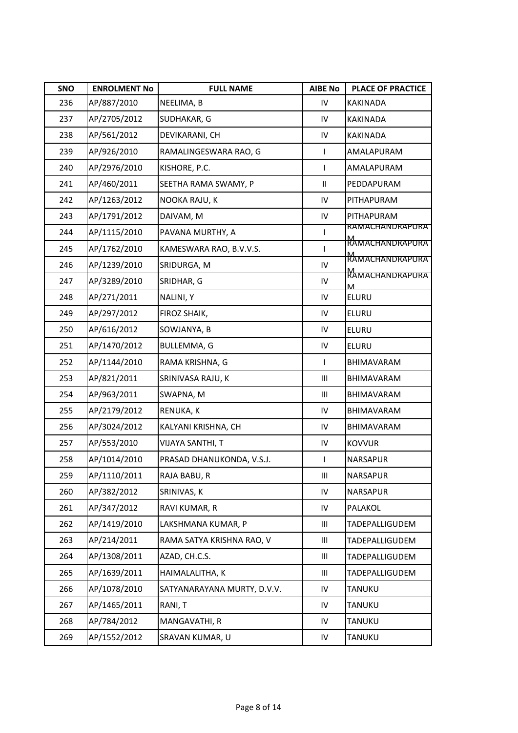| SNO | <b>ENROLMENT No</b> | <b>FULL NAME</b>            | <b>AIBE No</b>             | <b>PLACE OF PRACTICE</b>         |
|-----|---------------------|-----------------------------|----------------------------|----------------------------------|
| 236 | AP/887/2010         | NEELIMA, B                  | IV                         | <b>KAKINADA</b>                  |
| 237 | AP/2705/2012        | SUDHAKAR, G                 | IV                         | <b>KAKINADA</b>                  |
| 238 | AP/561/2012         | DEVIKARANI, CH              | IV                         | <b>KAKINADA</b>                  |
| 239 | AP/926/2010         | RAMALINGESWARA RAO, G       | L                          | AMALAPURAM                       |
| 240 | AP/2976/2010        | KISHORE, P.C.               | L                          | AMALAPURAM                       |
| 241 | AP/460/2011         | SEETHA RAMA SWAMY, P        | $\ensuremath{\mathsf{II}}$ | PEDDAPURAM                       |
| 242 | AP/1263/2012        | NOOKA RAJU, K               | ${\sf IV}$                 | PITHAPURAM                       |
| 243 | AP/1791/2012        | DAIVAM, M                   | ${\sf IV}$                 | PITHAPURAM                       |
| 244 | AP/1115/2010        | PAVANA MURTHY, A            |                            | <b>RAMACHANDRAPURA</b>           |
| 245 | AP/1762/2010        | KAMESWARA RAO, B.V.V.S.     | $\mathbf{I}$               | <u>M</u><br>RAMACHANDRAPURA      |
| 246 | AP/1239/2010        | SRIDURGA, M                 | ${\sf IV}$                 | M<br>RAMACHANDRAPURA             |
| 247 | AP/3289/2010        | SRIDHAR, G                  | ${\sf IV}$                 | M<br>RAMACHANDRAPURA<br><b>M</b> |
| 248 | AP/271/2011         | NALINI, Y                   | IV                         | <b>ELURU</b>                     |
| 249 | AP/297/2012         | FIROZ SHAIK,                | IV                         | <b>ELURU</b>                     |
| 250 | AP/616/2012         | SOWJANYA, B                 | IV                         | ELURU                            |
| 251 | AP/1470/2012        | <b>BULLEMMA, G</b>          | IV                         | <b>ELURU</b>                     |
| 252 | AP/1144/2010        | RAMA KRISHNA, G             | $\mathsf{I}$               | BHIMAVARAM                       |
| 253 | AP/821/2011         | SRINIVASA RAJU, K           | Ш                          | BHIMAVARAM                       |
| 254 | AP/963/2011         | SWAPNA, M                   | Ш                          | BHIMAVARAM                       |
| 255 | AP/2179/2012        | RENUKA, K                   | IV                         | BHIMAVARAM                       |
| 256 | AP/3024/2012        | KALYANI KRISHNA, CH         | IV                         | BHIMAVARAM                       |
| 257 | AP/553/2010         | VIJAYA SANTHI, T            | IV                         | <b>KOVVUR</b>                    |
| 258 | AP/1014/2010        | PRASAD DHANUKONDA, V.S.J.   | L                          | NARSAPUR                         |
| 259 | AP/1110/2011        | RAJA BABU, R                | Ш                          | <b>NARSAPUR</b>                  |
| 260 | AP/382/2012         | SRINIVAS, K                 | IV                         | NARSAPUR                         |
| 261 | AP/347/2012         | RAVI KUMAR, R               | ${\sf IV}$                 | PALAKOL                          |
| 262 | AP/1419/2010        | LAKSHMANA KUMAR, P          | Ш                          | TADEPALLIGUDEM                   |
| 263 | AP/214/2011         | RAMA SATYA KRISHNA RAO, V   | Ш                          | TADEPALLIGUDEM                   |
| 264 | AP/1308/2011        | AZAD, CH.C.S.               | Ш                          | TADEPALLIGUDEM                   |
| 265 | AP/1639/2011        | HAIMALALITHA, K             | Ш                          | TADEPALLIGUDEM                   |
| 266 | AP/1078/2010        | SATYANARAYANA MURTY, D.V.V. | IV                         | TANUKU                           |
| 267 | AP/1465/2011        | RANI, T                     | IV                         | TANUKU                           |
| 268 | AP/784/2012         | MANGAVATHI, R               | IV                         | TANUKU                           |
| 269 | AP/1552/2012        | SRAVAN KUMAR, U             | ${\sf IV}$                 | TANUKU                           |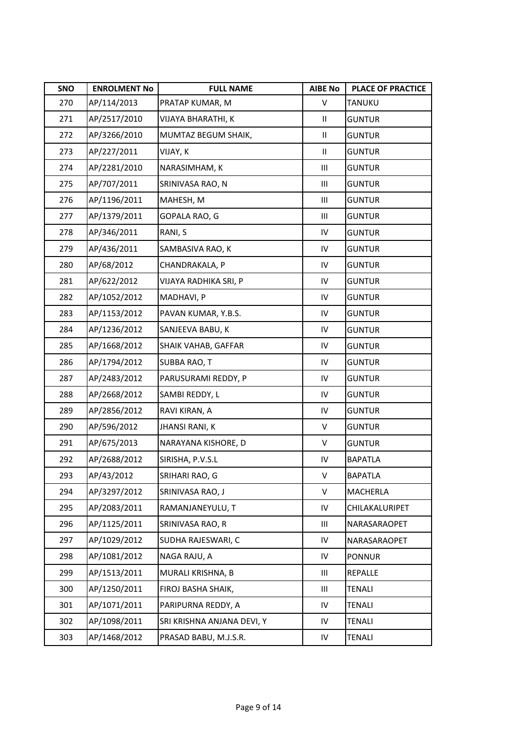| SNO | <b>ENROLMENT No</b> | <b>FULL NAME</b>           | <b>AIBE No</b> | <b>PLACE OF PRACTICE</b> |
|-----|---------------------|----------------------------|----------------|--------------------------|
| 270 | AP/114/2013         | PRATAP KUMAR, M            | V              | TANUKU                   |
| 271 | AP/2517/2010        | VIJAYA BHARATHI, K         | Ш.             | <b>GUNTUR</b>            |
| 272 | AP/3266/2010        | MUMTAZ BEGUM SHAIK,        | Ш.             | <b>GUNTUR</b>            |
| 273 | AP/227/2011         | VIJAY, K                   | Ш              | <b>GUNTUR</b>            |
| 274 | AP/2281/2010        | NARASIMHAM, K              | Ш              | <b>GUNTUR</b>            |
| 275 | AP/707/2011         | SRINIVASA RAO, N           | Ш              | <b>GUNTUR</b>            |
| 276 | AP/1196/2011        | MAHESH, M                  | Ш              | <b>GUNTUR</b>            |
| 277 | AP/1379/2011        | GOPALA RAO, G              | Ш              | <b>GUNTUR</b>            |
| 278 | AP/346/2011         | RANI, S                    | IV             | <b>GUNTUR</b>            |
| 279 | AP/436/2011         | SAMBASIVA RAO, K           | IV             | <b>GUNTUR</b>            |
| 280 | AP/68/2012          | CHANDRAKALA, P             | IV             | <b>GUNTUR</b>            |
| 281 | AP/622/2012         | VIJAYA RADHIKA SRI, P      | IV             | <b>GUNTUR</b>            |
| 282 | AP/1052/2012        | MADHAVI, P                 | IV             | <b>GUNTUR</b>            |
| 283 | AP/1153/2012        | PAVAN KUMAR, Y.B.S.        | IV             | <b>GUNTUR</b>            |
| 284 | AP/1236/2012        | SANJEEVA BABU, K           | IV             | <b>GUNTUR</b>            |
| 285 | AP/1668/2012        | SHAIK VAHAB, GAFFAR        | IV             | <b>GUNTUR</b>            |
| 286 | AP/1794/2012        | SUBBA RAO, T               | IV             | <b>GUNTUR</b>            |
| 287 | AP/2483/2012        | PARUSURAMI REDDY, P        | IV             | <b>GUNTUR</b>            |
| 288 | AP/2668/2012        | SAMBI REDDY, L             | IV             | <b>GUNTUR</b>            |
| 289 | AP/2856/2012        | RAVI KIRAN, A              | IV             | <b>GUNTUR</b>            |
| 290 | AP/596/2012         | <b>JHANSI RANI, K</b>      | V              | <b>GUNTUR</b>            |
| 291 | AP/675/2013         | NARAYANA KISHORE, D        | V              | <b>GUNTUR</b>            |
| 292 | AP/2688/2012        | SIRISHA, P.V.S.L           | IV             | <b>BAPATLA</b>           |
| 293 | AP/43/2012          | SRIHARI RAO, G             | V              | <b>BAPATLA</b>           |
| 294 | AP/3297/2012        | SRINIVASA RAO, J           | V              | MACHERLA                 |
| 295 | AP/2083/2011        | RAMANJANEYULU, T           | IV             | CHILAKALURIPET           |
| 296 | AP/1125/2011        | SRINIVASA RAO, R           | Ш              | NARASARAOPET             |
| 297 | AP/1029/2012        | SUDHA RAJESWARI, C         | IV             | NARASARAOPET             |
| 298 | AP/1081/2012        | NAGA RAJU, A               | IV             | <b>PONNUR</b>            |
| 299 | AP/1513/2011        | MURALI KRISHNA, B          | Ш              | REPALLE                  |
| 300 | AP/1250/2011        | FIROJ BASHA SHAIK,         | Ш              | <b>TENALI</b>            |
| 301 | AP/1071/2011        | PARIPURNA REDDY, A         | IV             | <b>TENALI</b>            |
| 302 | AP/1098/2011        | SRI KRISHNA ANJANA DEVI, Y | IV             | TENALI                   |
| 303 | AP/1468/2012        | PRASAD BABU, M.J.S.R.      | IV             | TENALI                   |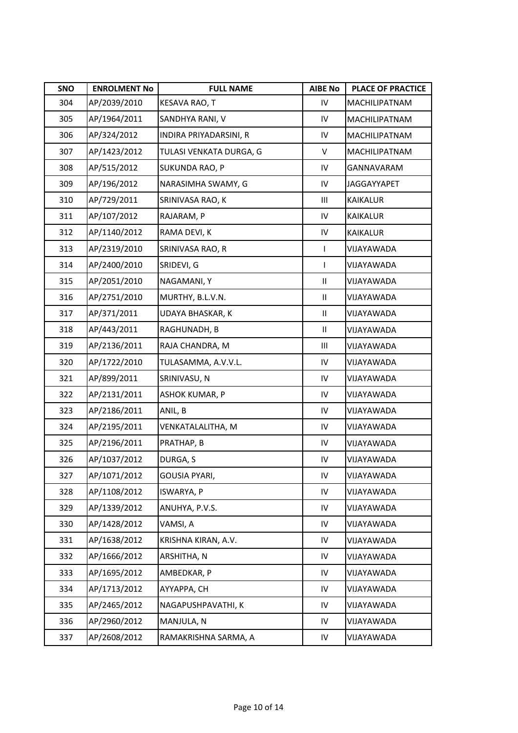| SNO | <b>ENROLMENT No</b> | <b>FULL NAME</b>        | <b>AIBE No</b> | <b>PLACE OF PRACTICE</b> |
|-----|---------------------|-------------------------|----------------|--------------------------|
| 304 | AP/2039/2010        | KESAVA RAO, T           | IV             | MACHILIPATNAM            |
| 305 | AP/1964/2011        | SANDHYA RANI, V         | IV             | MACHILIPATNAM            |
| 306 | AP/324/2012         | INDIRA PRIYADARSINI, R  | IV             | MACHILIPATNAM            |
| 307 | AP/1423/2012        | TULASI VENKATA DURGA, G | V              | MACHILIPATNAM            |
| 308 | AP/515/2012         | SUKUNDA RAO, P          | IV             | <b>GANNAVARAM</b>        |
| 309 | AP/196/2012         | NARASIMHA SWAMY, G      | IV             | <b>JAGGAYYAPET</b>       |
| 310 | AP/729/2011         | SRINIVASA RAO, K        | Ш              | <b>KAIKALUR</b>          |
| 311 | AP/107/2012         | RAJARAM, P              | IV             | <b>KAIKALUR</b>          |
| 312 | AP/1140/2012        | RAMA DEVI, K            | IV             | KAIKALUR                 |
| 313 | AP/2319/2010        | SRINIVASA RAO, R        | L              | VIJAYAWADA               |
| 314 | AP/2400/2010        | SRIDEVI, G              | $\mathbf{I}$   | VIJAYAWADA               |
| 315 | AP/2051/2010        | NAGAMANI, Y             | $\mathbf{H}$   | VIJAYAWADA               |
| 316 | AP/2751/2010        | MURTHY, B.L.V.N.        | Ш              | VIJAYAWADA               |
| 317 | AP/371/2011         | UDAYA BHASKAR, K        | Ш              | VIJAYAWADA               |
| 318 | AP/443/2011         | RAGHUNADH, B            | $\mathbf{II}$  | VIJAYAWADA               |
| 319 | AP/2136/2011        | RAJA CHANDRA, M         | Ш              | VIJAYAWADA               |
| 320 | AP/1722/2010        | TULASAMMA, A.V.V.L.     | IV             | VIJAYAWADA               |
| 321 | AP/899/2011         | SRINIVASU, N            | IV             | VIJAYAWADA               |
| 322 | AP/2131/2011        | ASHOK KUMAR, P          | IV             | VIJAYAWADA               |
| 323 | AP/2186/2011        | ANIL, B                 | IV             | VIJAYAWADA               |
| 324 | AP/2195/2011        | VENKATALALITHA, M       | IV             | VIJAYAWADA               |
| 325 | AP/2196/2011        | PRATHAP, B              | IV             | VIJAYAWADA               |
| 326 | AP/1037/2012        | DURGA, S                | IV             | VIJAYAWADA               |
| 327 | AP/1071/2012        | GOUSIA PYARI,           | IV             | VIJAYAWADA               |
| 328 | AP/1108/2012        | ISWARYA, P              | IV             | VIJAYAWADA               |
| 329 | AP/1339/2012        | ANUHYA, P.V.S.          | IV             | VIJAYAWADA               |
| 330 | AP/1428/2012        | VAMSI, A                | IV             | VIJAYAWADA               |
| 331 | AP/1638/2012        | KRISHNA KIRAN, A.V.     | IV             | VIJAYAWADA               |
| 332 | AP/1666/2012        | ARSHITHA, N             | IV             | VIJAYAWADA               |
| 333 | AP/1695/2012        | AMBEDKAR, P             | IV             | VIJAYAWADA               |
| 334 | AP/1713/2012        | AYYAPPA, CH             | IV             | VIJAYAWADA               |
| 335 | AP/2465/2012        | NAGAPUSHPAVATHI, K      | IV             | VIJAYAWADA               |
| 336 | AP/2960/2012        | MANJULA, N              | IV             | VIJAYAWADA               |
| 337 | AP/2608/2012        | RAMAKRISHNA SARMA, A    | IV             | VIJAYAWADA               |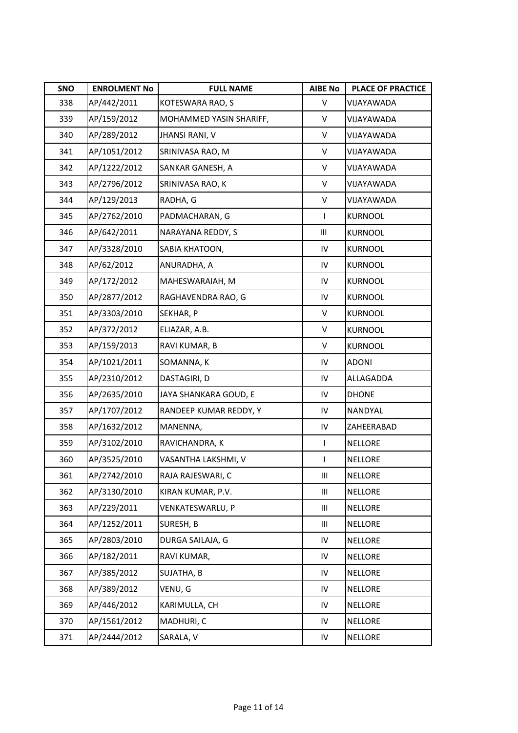| SNO | <b>ENROLMENT No</b> | <b>FULL NAME</b>        | <b>AIBE No</b> | <b>PLACE OF PRACTICE</b> |
|-----|---------------------|-------------------------|----------------|--------------------------|
| 338 | AP/442/2011         | KOTESWARA RAO, S        | V              | VIJAYAWADA               |
| 339 | AP/159/2012         | MOHAMMED YASIN SHARIFF, | V              | VIJAYAWADA               |
| 340 | AP/289/2012         | <b>JHANSI RANI, V</b>   | V              | VIJAYAWADA               |
| 341 | AP/1051/2012        | SRINIVASA RAO, M        | V              | VIJAYAWADA               |
| 342 | AP/1222/2012        | SANKAR GANESH, A        | V              | VIJAYAWADA               |
| 343 | AP/2796/2012        | SRINIVASA RAO, K        | V              | VIJAYAWADA               |
| 344 | AP/129/2013         | RADHA, G                | $\sf V$        | VIJAYAWADA               |
| 345 | AP/2762/2010        | PADMACHARAN, G          | $\mathsf{I}$   | <b>KURNOOL</b>           |
| 346 | AP/642/2011         | NARAYANA REDDY, S       | Ш              | <b>KURNOOL</b>           |
| 347 | AP/3328/2010        | SABIA KHATOON,          | IV             | <b>KURNOOL</b>           |
| 348 | AP/62/2012          | ANURADHA, A             | IV             | <b>KURNOOL</b>           |
| 349 | AP/172/2012         | MAHESWARAIAH, M         | ${\sf IV}$     | <b>KURNOOL</b>           |
| 350 | AP/2877/2012        | RAGHAVENDRA RAO, G      | IV             | <b>KURNOOL</b>           |
| 351 | AP/3303/2010        | SEKHAR, P               | V              | <b>KURNOOL</b>           |
| 352 | AP/372/2012         | ELIAZAR, A.B.           | V              | <b>KURNOOL</b>           |
| 353 | AP/159/2013         | RAVI KUMAR, B           | V              | <b>KURNOOL</b>           |
| 354 | AP/1021/2011        | SOMANNA, K              | ${\sf IV}$     | <b>ADONI</b>             |
| 355 | AP/2310/2012        | DASTAGIRI, D            | ${\sf IV}$     | ALLAGADDA                |
| 356 | AP/2635/2010        | JAYA SHANKARA GOUD, E   | ${\sf IV}$     | <b>DHONE</b>             |
| 357 | AP/1707/2012        | RANDEEP KUMAR REDDY, Y  | IV             | NANDYAL                  |
| 358 | AP/1632/2012        | MANENNA,                | IV             | ZAHEERABAD               |
| 359 | AP/3102/2010        | RAVICHANDRA, K          | $\mathbf{I}$   | <b>NELLORE</b>           |
| 360 | AP/3525/2010        | VASANTHA LAKSHMI, V     | L              | <b>NELLORE</b>           |
| 361 | AP/2742/2010        | RAJA RAJESWARI, C       | Ш              | <b>NELLORE</b>           |
| 362 | AP/3130/2010        | KIRAN KUMAR, P.V.       | Ш              | <b>NELLORE</b>           |
| 363 | AP/229/2011         | VENKATESWARLU, P        | Ш              | <b>NELLORE</b>           |
| 364 | AP/1252/2011        | SURESH, B               | Ш              | <b>NELLORE</b>           |
| 365 | AP/2803/2010        | DURGA SAILAJA, G        | ${\sf IV}$     | <b>NELLORE</b>           |
| 366 | AP/182/2011         | RAVI KUMAR,             | ${\sf IV}$     | <b>NELLORE</b>           |
| 367 | AP/385/2012         | SUJATHA, B              | ${\sf IV}$     | <b>NELLORE</b>           |
| 368 | AP/389/2012         | VENU, G                 | ${\sf IV}$     | <b>NELLORE</b>           |
| 369 | AP/446/2012         | KARIMULLA, CH           | ${\sf IV}$     | <b>NELLORE</b>           |
| 370 | AP/1561/2012        | MADHURI, C              | IV             | <b>NELLORE</b>           |
| 371 | AP/2444/2012        | SARALA, V               | ${\sf IV}$     | <b>NELLORE</b>           |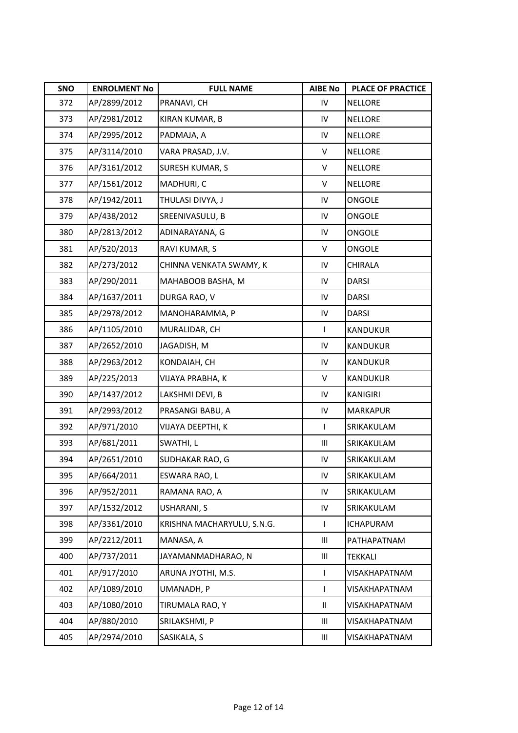| SNO | <b>ENROLMENT No</b> | <b>FULL NAME</b>           | <b>AIBE No</b> | PLACE OF PRACTICE |
|-----|---------------------|----------------------------|----------------|-------------------|
| 372 | AP/2899/2012        | PRANAVI, CH                | IV             | <b>NELLORE</b>    |
| 373 | AP/2981/2012        | KIRAN KUMAR, B             | IV             | <b>NELLORE</b>    |
| 374 | AP/2995/2012        | PADMAJA, A                 | IV             | <b>NELLORE</b>    |
| 375 | AP/3114/2010        | VARA PRASAD, J.V.          | V              | <b>NELLORE</b>    |
| 376 | AP/3161/2012        | <b>SURESH KUMAR, S</b>     | V              | <b>NELLORE</b>    |
| 377 | AP/1561/2012        | MADHURI, C                 | V              | <b>NELLORE</b>    |
| 378 | AP/1942/2011        | THULASI DIVYA, J           | IV             | ONGOLE            |
| 379 | AP/438/2012         | SREENIVASULU, B            | IV             | ONGOLE            |
| 380 | AP/2813/2012        | ADINARAYANA, G             | IV             | ONGOLE            |
| 381 | AP/520/2013         | RAVI KUMAR, S              | V              | ONGOLE            |
| 382 | AP/273/2012         | CHINNA VENKATA SWAMY, K    | IV             | CHIRALA           |
| 383 | AP/290/2011         | MAHABOOB BASHA, M          | IV             | <b>DARSI</b>      |
| 384 | AP/1637/2011        | DURGA RAO, V               | IV             | <b>DARSI</b>      |
| 385 | AP/2978/2012        | MANOHARAMMA, P             | IV             | <b>DARSI</b>      |
| 386 | AP/1105/2010        | MURALIDAR, CH              | L              | KANDUKUR          |
| 387 | AP/2652/2010        | JAGADISH, M                | IV             | KANDUKUR          |
| 388 | AP/2963/2012        | KONDAIAH, CH               | IV             | <b>KANDUKUR</b>   |
| 389 | AP/225/2013         | VIJAYA PRABHA, K           | V              | KANDUKUR          |
| 390 | AP/1437/2012        | LAKSHMI DEVI, B            | IV             | <b>KANIGIRI</b>   |
| 391 | AP/2993/2012        | PRASANGI BABU, A           | IV             | <b>MARKAPUR</b>   |
| 392 | AP/971/2010         | VIJAYA DEEPTHI, K          | $\mathsf{I}$   | SRIKAKULAM        |
| 393 | AP/681/2011         | SWATHI, L                  | Ш              | SRIKAKULAM        |
| 394 | AP/2651/2010        | SUDHAKAR RAO, G            | IV             | SRIKAKULAM        |
| 395 | AP/664/2011         | ESWARA RAO, L              | IV             | SRIKAKULAM        |
| 396 | AP/952/2011         | RAMANA RAO, A              | IV             | SRIKAKULAM        |
| 397 | AP/1532/2012        | USHARANI, S                | IV             | SRIKAKULAM        |
| 398 | AP/3361/2010        | KRISHNA MACHARYULU, S.N.G. | L              | <b>ICHAPURAM</b>  |
| 399 | AP/2212/2011        | MANASA, A                  | Ш              | PATHAPATNAM       |
| 400 | AP/737/2011         | JAYAMANMADHARAO, N         | Ш              | TEKKALI           |
| 401 | AP/917/2010         | ARUNA JYOTHI, M.S.         | $\mathsf{L}$   | VISAKHAPATNAM     |
| 402 | AP/1089/2010        | UMANADH, P                 | L              | VISAKHAPATNAM     |
| 403 | AP/1080/2010        | TIRUMALA RAO, Y            | $\mathbf{H}$   | VISAKHAPATNAM     |
| 404 | AP/880/2010         | SRILAKSHMI, P              | Ш              | VISAKHAPATNAM     |
| 405 | AP/2974/2010        | SASIKALA, S                | Ш              | VISAKHAPATNAM     |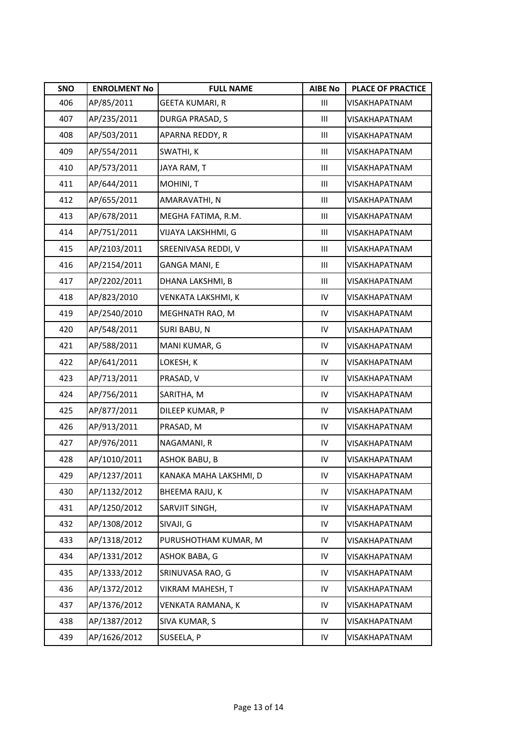| SNO | <b>ENROLMENT No</b> | <b>FULL NAME</b>       | <b>AIBE No</b> | <b>PLACE OF PRACTICE</b> |
|-----|---------------------|------------------------|----------------|--------------------------|
| 406 | AP/85/2011          | <b>GEETA KUMARI, R</b> | Ш              | VISAKHAPATNAM            |
| 407 | AP/235/2011         | DURGA PRASAD, S        | Ш              | VISAKHAPATNAM            |
| 408 | AP/503/2011         | APARNA REDDY, R        | Ш              | <b>VISAKHAPATNAM</b>     |
| 409 | AP/554/2011         | SWATHI, K              | Ш              | VISAKHAPATNAM            |
| 410 | AP/573/2011         | JAYA RAM, T            | Ш              | <b>VISAKHAPATNAM</b>     |
| 411 | AP/644/2011         | MOHINI, T              | Ш              | VISAKHAPATNAM            |
| 412 | AP/655/2011         | AMARAVATHI, N          | Ш              | VISAKHAPATNAM            |
| 413 | AP/678/2011         | MEGHA FATIMA, R.M.     | Ш              | VISAKHAPATNAM            |
| 414 | AP/751/2011         | VIJAYA LAKSHHMI, G     | Ш              | VISAKHAPATNAM            |
| 415 | AP/2103/2011        | SREENIVASA REDDI, V    | Ш              | <b>VISAKHAPATNAM</b>     |
| 416 | AP/2154/2011        | GANGA MANI, E          | Ш              | VISAKHAPATNAM            |
| 417 | AP/2202/2011        | DHANA LAKSHMI, B       | Ш              | VISAKHAPATNAM            |
| 418 | AP/823/2010         | VENKATA LAKSHMI, K     | IV             | VISAKHAPATNAM            |
| 419 | AP/2540/2010        | MEGHNATH RAO, M        | IV             | <b>VISAKHAPATNAM</b>     |
| 420 | AP/548/2011         | SURI BABU, N           | IV             | <b>VISAKHAPATNAM</b>     |
| 421 | AP/588/2011         | MANI KUMAR, G          | IV             | VISAKHAPATNAM            |
| 422 | AP/641/2011         | LOKESH, K              | IV             | VISAKHAPATNAM            |
| 423 | AP/713/2011         | PRASAD, V              | IV             | VISAKHAPATNAM            |
| 424 | AP/756/2011         | SARITHA, M             | IV             | VISAKHAPATNAM            |
| 425 | AP/877/2011         | DILEEP KUMAR, P        | IV             | VISAKHAPATNAM            |
| 426 | AP/913/2011         | PRASAD, M              | IV             | VISAKHAPATNAM            |
| 427 | AP/976/2011         | NAGAMANI, R            | IV             | VISAKHAPATNAM            |
| 428 | AP/1010/2011        | <b>ASHOK BABU, B</b>   | IV             | VISAKHAPATNAM            |
| 429 | AP/1237/2011        | KANAKA MAHA LAKSHMI, D | IV             | <b>VISAKHAPATNAM</b>     |
| 430 | AP/1132/2012        | BHEEMA RAJU, K         | IV             | VISAKHAPATNAM            |
| 431 | AP/1250/2012        | SARVJIT SINGH,         | IV             | VISAKHAPATNAM            |
| 432 | AP/1308/2012        | SIVAJI, G              | IV             | VISAKHAPATNAM            |
| 433 | AP/1318/2012        | PURUSHOTHAM KUMAR, M   | IV             | VISAKHAPATNAM            |
| 434 | AP/1331/2012        | ASHOK BABA, G          | IV             | VISAKHAPATNAM            |
| 435 | AP/1333/2012        | SRINUVASA RAO, G       | IV             | VISAKHAPATNAM            |
| 436 | AP/1372/2012        | VIKRAM MAHESH, T       | IV             | VISAKHAPATNAM            |
| 437 | AP/1376/2012        | VENKATA RAMANA, K      | IV             | VISAKHAPATNAM            |
| 438 | AP/1387/2012        | SIVA KUMAR, S          | IV             | VISAKHAPATNAM            |
| 439 | AP/1626/2012        | SUSEELA, P             | IV             | VISAKHAPATNAM            |